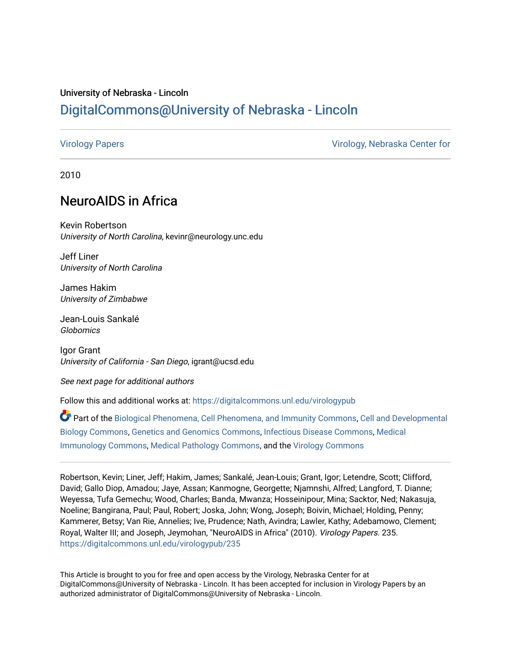# University of Nebraska - Lincoln [DigitalCommons@University of Nebraska - Lincoln](https://digitalcommons.unl.edu/)

[Virology Papers](https://digitalcommons.unl.edu/virologypub) [Virology, Nebraska Center for](https://digitalcommons.unl.edu/virology) 

2010

# NeuroAIDS in Africa

Kevin Robertson University of North Carolina, kevinr@neurology.unc.edu

Jeff Liner University of North Carolina

James Hakim University of Zimbabwe

Jean-Louis Sankalé Globomics

Igor Grant University of California - San Diego, igrant@ucsd.edu

See next page for additional authors

Follow this and additional works at: [https://digitalcommons.unl.edu/virologypub](https://digitalcommons.unl.edu/virologypub?utm_source=digitalcommons.unl.edu%2Fvirologypub%2F235&utm_medium=PDF&utm_campaign=PDFCoverPages)

Part of the [Biological Phenomena, Cell Phenomena, and Immunity Commons](http://network.bepress.com/hgg/discipline/958?utm_source=digitalcommons.unl.edu%2Fvirologypub%2F235&utm_medium=PDF&utm_campaign=PDFCoverPages), [Cell and Developmental](http://network.bepress.com/hgg/discipline/8?utm_source=digitalcommons.unl.edu%2Fvirologypub%2F235&utm_medium=PDF&utm_campaign=PDFCoverPages) [Biology Commons](http://network.bepress.com/hgg/discipline/8?utm_source=digitalcommons.unl.edu%2Fvirologypub%2F235&utm_medium=PDF&utm_campaign=PDFCoverPages), [Genetics and Genomics Commons,](http://network.bepress.com/hgg/discipline/27?utm_source=digitalcommons.unl.edu%2Fvirologypub%2F235&utm_medium=PDF&utm_campaign=PDFCoverPages) [Infectious Disease Commons,](http://network.bepress.com/hgg/discipline/689?utm_source=digitalcommons.unl.edu%2Fvirologypub%2F235&utm_medium=PDF&utm_campaign=PDFCoverPages) [Medical](http://network.bepress.com/hgg/discipline/671?utm_source=digitalcommons.unl.edu%2Fvirologypub%2F235&utm_medium=PDF&utm_campaign=PDFCoverPages)  [Immunology Commons](http://network.bepress.com/hgg/discipline/671?utm_source=digitalcommons.unl.edu%2Fvirologypub%2F235&utm_medium=PDF&utm_campaign=PDFCoverPages), [Medical Pathology Commons](http://network.bepress.com/hgg/discipline/676?utm_source=digitalcommons.unl.edu%2Fvirologypub%2F235&utm_medium=PDF&utm_campaign=PDFCoverPages), and the [Virology Commons](http://network.bepress.com/hgg/discipline/53?utm_source=digitalcommons.unl.edu%2Fvirologypub%2F235&utm_medium=PDF&utm_campaign=PDFCoverPages)

Robertson, Kevin; Liner, Jeff; Hakim, James; Sankalé, Jean-Louis; Grant, Igor; Letendre, Scott; Clifford, David; Gallo Diop, Amadou; Jaye, Assan; Kanmogne, Georgette; Njamnshi, Alfred; Langford, T. Dianne; Weyessa, Tufa Gemechu; Wood, Charles; Banda, Mwanza; Hosseinipour, Mina; Sacktor, Ned; Nakasuja, Noeline; Bangirana, Paul; Paul, Robert; Joska, John; Wong, Joseph; Boivin, Michael; Holding, Penny; Kammerer, Betsy; Van Rie, Annelies; Ive, Prudence; Nath, Avindra; Lawler, Kathy; Adebamowo, Clement; Royal, Walter III; and Joseph, Jeymohan, "NeuroAIDS in Africa" (2010). Virology Papers. 235. [https://digitalcommons.unl.edu/virologypub/235](https://digitalcommons.unl.edu/virologypub/235?utm_source=digitalcommons.unl.edu%2Fvirologypub%2F235&utm_medium=PDF&utm_campaign=PDFCoverPages)

This Article is brought to you for free and open access by the Virology, Nebraska Center for at DigitalCommons@University of Nebraska - Lincoln. It has been accepted for inclusion in Virology Papers by an authorized administrator of DigitalCommons@University of Nebraska - Lincoln.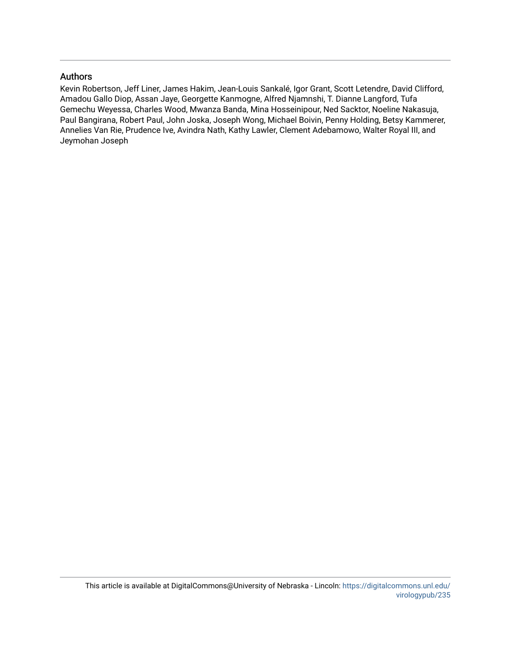# Authors

Kevin Robertson, Jeff Liner, James Hakim, Jean-Louis Sankalé, Igor Grant, Scott Letendre, David Clifford, Amadou Gallo Diop, Assan Jaye, Georgette Kanmogne, Alfred Njamnshi, T. Dianne Langford, Tufa Gemechu Weyessa, Charles Wood, Mwanza Banda, Mina Hosseinipour, Ned Sacktor, Noeline Nakasuja, Paul Bangirana, Robert Paul, John Joska, Joseph Wong, Michael Boivin, Penny Holding, Betsy Kammerer, Annelies Van Rie, Prudence Ive, Avindra Nath, Kathy Lawler, Clement Adebamowo, Walter Royal III, and Jeymohan Joseph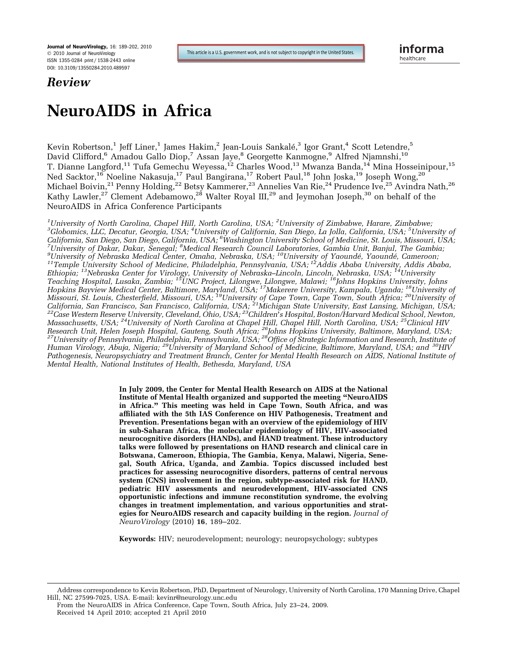Journal of NeuroVirology, 16: 189-202, 2010  $\odot$  2010 Journal of NeuroVirology ISSN 1355-0284 print / 1538-2443 online ISSN 1355-0284 print / 1538-2443 online

DOI: 10.3109/13550284.2010.489597

Review

informa healthcare

# NeuroAIDS in Africa

Kevin Robertson,<sup>1</sup> Jeff Liner,<sup>1</sup> James Hakim,<sup>2</sup> Jean-Louis Sankalé,<sup>3</sup> Igor Grant,<sup>4</sup> Scott Letendre,<sup>5</sup> David Clifford,<sup>6</sup> Amadou Gallo Diop,<sup>7</sup> Assan Jaye,<sup>8</sup> Georgette Kanmogne,<sup>9</sup> Alfred Njamnshi,<sup>10</sup> T. Dianne Langford, $^{11}$  Tufa Gemechu Weyessa, $^{12}$  Charles Wood, $^{13}$  Mwanza Banda, $^{14}$  Mina Hosseinipour, $^{15}$ Ned Sacktor,<sup>16</sup> Noeline Nakasuja,<sup>17</sup> Paul Bangirana,<sup>17</sup> Robert Paul,<sup>18</sup> John Joska,<sup>19</sup> Joseph Wong,<sup>20</sup> Michael Boivin, $^{21}$  Penny Holding, $^{22}$  Betsy Kammerer, $^{23}$  Annelies Van Rie, $^{24}$  Prudence Ive, $^{25}$  Avindra Nath, $^{26}$ Kathy Lawler, $^{27}$  Clement Adebamowo, $^{28}$  Walter Royal III, $^{29}$  and Jeymohan Joseph, $^{30}$  on behalf of the NeuroAIDS in Africa Conference Participants

 $^1$ University of North Carolina, Chapel Hill, North Carolina, USA;  $^2$ University of Zimbabwe, Harare, Zimbabwe;  $^3$ Clobomics, U.C. Decetur, Georgia, USA:  $^4$ University of California, San Diego, La Jolla, California, U Globomics, LLC, Decatur, Georgia, USA; <sup>4</sup>University of California, San Diego, La Jolla, California, USA; <sup>5</sup>University of California, San Diego, San Diego, California, USA; <sup>6</sup>Washington University School of Medicine, St. Louis, Missouri, USA;<br><sup>7</sup>University of Dakar, Dakar, Senegal: <sup>8</sup>Medical Besearch Council Laboratories, Cambia Unit, Banju  $^7$ University of Dakar, Dakar, Senegal;  $^8$ Medical Research Council Laboratories, Gambia Unit, Banjul, The Gambia;<br> $^9$ University of Nebraska Medical Center, Omaha, Nebraska, USA;  $^{10}$ University of Yaoundé, Yaoundé, C <sup>9</sup>University of Nebraska Medical Center, Omaha, Nebraska, USA; <sup>10</sup>University of Yaoundé, Yaoundé, Cameroon;<br><sup>11</sup>Temple University School of Medicine, Philadelphia, Pennsylvania, USA; <sup>12</sup>Addis Ababa University, Addis Aba Ethiopia; <sup>13</sup>Nebraska Center for Virology, University of Nebraska–Lincoln, Lincoln, Nebraska, USA; <sup>14</sup>University Teaching Hospital, Lusaka, Zambia; <sup>15</sup>UNC Project, Lilongwe, Lilongwe, Malawi; <sup>16</sup>Johns Hopkins University, Johns Hopkins Bayview Medical Center, Baltimore, Maryland, USA; 17Makerere University, Kampala, Uganda; 18University of Missouri, St. Louis, Chesterfield, Missouri, USA; <sup>19</sup>University of Cape Town, Cape Town, South Africa; <sup>20</sup>University of California, San Francisco, San Francisco, California, USA; <sup>21</sup>Michigan State University, East Lansing, Michigan, USA,<br><sup>22</sup>Case Western Reserve University, Cleveland, Ohio, USA; <sup>23</sup>Children's Hospital, Boston/Harvard Medi on general, Carl Prancisco, Carl Prancisco, Carl Prima, USA; 23<br>22 Case Western Reserve University, Cleveland, Ohio, USA; <sup>23</sup>Children's Hospital, Boston/Harvard Medical School, Newton,<br>Massachusetts, USA; <sup>24</sup>University o Research Unit, Helen Joseph Hospital, Gauteng, South Africa; <sup>26</sup>Johns Hopkins University, Baltimore, Maryland, USA;<br><sup>27</sup>University of Pennsylvania, Philadelphia, Pennsylvania, USA; <sup>26</sup>Office of Strategic Information and Human Virology, Abuja, Nigeria; <sup>29</sup>University of Maryland School of Medicine, Baltimore, Maryland, USA; and <sup>30</sup>HIV Pathogenesis, Neuropsychiatry and Treatment Branch, Center for Mental Health Research on AIDS, National Institute of Mental Health, National Institutes of Health, Bethesda, Maryland, USA

> In July 2009, the Center for Mental Health Research on AIDS at the National Institute of Mental Health organized and supported the meeting "NeuroAIDS in Africa." This meeting was held in Cape Town, South Africa, and was affiliated with the 5th IAS Conference on HIV Pathogenesis, Treatment and Prevention. Presentations began with an overview of the epidemiology of HIV in sub-Saharan Africa, the molecular epidemiology of HIV, HIV-associated neurocognitive disorders (HANDs), and HAND treatment. These introductory talks were followed by presentations on HAND research and clinical care in Botswana, Cameroon, Ethiopia, The Gambia, Kenya, Malawi, Nigeria, Senegal, South Africa, Uganda, and Zambia. Topics discussed included best practices for assessing neurocognitive disorders, patterns of central nervous system (CNS) involvement in the region, subtype-associated risk for HAND, pediatric HIV assessments and neurodevelopment, HIV-associated CNS opportunistic infections and immune reconstitution syndrome, the evolving changes in treatment implementation, and various opportunities and strategies for NeuroAIDS research and capacity building in the region. Journal of NeuroVirology (2010) 16, 189–202.

Keywords: HIV; neurodevelopment; neurology; neuropsychology; subtypes

From the NeuroAIDS in Africa Conference, Cape Town, South Africa, July 23–24, 2009. Received 14 April 2010; accepted 21 April 2010

Address correspondence to Kevin Robertson, PhD, Department of Neurology, University of North Carolina, 170 Manning Drive, Chapel Hill, NC 27599-7025, USA. E-mail: kevinr@neurology.unc.edu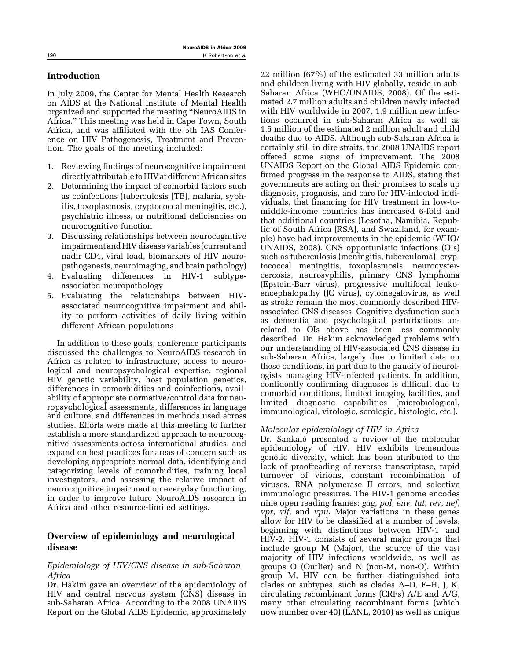# Introduction

In July 2009, the Center for Mental Health Research on AIDS at the National Institute of Mental Health organized and supported the meeting "NeuroAIDS in Africa." This meeting was held in Cape Town, South Africa, and was affiliated with the 5th IAS Conference on HIV Pathogenesis, Treatment and Prevention. The goals of the meeting included:

- 1. Reviewing findings of neurocognitive impairment directly attributable to HIV at different African sites
- 2. Determining the impact of comorbid factors such as coinfections (tuberculosis [TB], malaria, syphilis, toxoplasmosis, cryptococcal meningitis, etc.), psychiatric illness, or nutritional deficiencies on neurocognitive function
- 3. Discussing relationships between neurocognitive impairment and HIV disease variables (current and nadir CD4, viral load, biomarkers of HIV neuropathogenesis, neuroimaging, and brain pathology)
- 4. Evaluating differences in HIV-1 subtypeassociated neuropathology
- 5. Evaluating the relationships between HIVassociated neurocognitive impairment and ability to perform activities of daily living within different African populations

In addition to these goals, conference participants discussed the challenges to NeuroAIDS research in Africa as related to infrastructure, access to neurological and neuropsychological expertise, regional HIV genetic variability, host population genetics, differences in comorbidities and coinfections, availability of appropriate normative/control data for neuropsychological assessments, differences in language and culture, and differences in methods used across studies. Efforts were made at this meeting to further establish a more standardized approach to neurocognitive assessments across international studies, and expand on best practices for areas of concern such as developing appropriate normal data, identifying and categorizing levels of comorbidities, training local investigators, and assessing the relative impact of neurocognitive impairment on everyday functioning, in order to improve future NeuroAIDS research in Africa and other resource-limited settings.

# Overview of epidemiology and neurological disease

# Epidemiology of HIV/CNS disease in sub-Saharan Africa

Dr. Hakim gave an overview of the epidemiology of HIV and central nervous system (CNS) disease in sub-Saharan Africa. According to the 2008 UNAIDS Report on the Global AIDS Epidemic, approximately

22 million (67%) of the estimated 33 million adults and children living with HIV globally, reside in sub-Saharan Africa (WHO/UNAIDS, 2008). Of the estimated 2.7 million adults and children newly infected with HIV worldwide in 2007, 1.9 million new infections occurred in sub-Saharan Africa as well as 1.5 million of the estimated 2 million adult and child deaths due to AIDS. Although sub-Saharan Africa is certainly still in dire straits, the 2008 UNAIDS report offered some signs of improvement. The 2008 UNAIDS Report on the Global AIDS Epidemic confirmed progress in the response to AIDS, stating that governments are acting on their promises to scale up diagnosis, prognosis, and care for HIV-infected individuals, that financing for HIV treatment in low-tomiddle-income countries has increased 6-fold and that additional countries (Lesotha, Namibia, Republic of South Africa [RSA], and Swaziland, for example) have had improvements in the epidemic (WHO/ UNAIDS, 2008). CNS opportunistic infections (OIs) such as tuberculosis (meningitis, tuberculoma), cryptococcal meningitis, toxoplasmosis, neurocystercercosis, neurosyphilis, primary CNS lymphoma (Epstein-Barr virus), progressive multifocal leukoencephalopathy (JC virus), cytomegalovirus, as well as stroke remain the most commonly described HIVassociated CNS diseases. Cognitive dysfunction such as dementia and psychological perturbations unrelated to OIs above has been less commonly described. Dr. Hakim acknowledged problems with our understanding of HIV-associated CNS disease in sub-Saharan Africa, largely due to limited data on these conditions, in part due to the paucity of neurologists managing HIV-infected patients. In addition, confidently confirming diagnoses is difficult due to comorbid conditions, limited imaging facilities, and limited diagnostic capabilities (microbiological, immunological, virologic, serologic, histologic, etc.).

# Molecular epidemiology of HIV in Africa

Dr. Sankalé presented a review of the molecular epidemiology of HIV. HIV exhibits tremendous genetic diversity, which has been attributed to the lack of proofreading of reverse transcriptase, rapid turnover of virions, constant recombination of viruses, RNA polymerase II errors, and selective immunologic pressures. The HIV-1 genome encodes nine open reading frames: gag, pol, env, tat, rev, nef, vpr, vif, and vpu. Major variations in these genes allow for HIV to be classified at a number of levels, beginning with distinctions between HIV-1 and HIV-2. HIV-1 consists of several major groups that include group M (Major), the source of the vast majority of HIV infections worldwide, as well as groups O (Outlier) and N (non-M, non-O). Within group M, HIV can be further distinguished into clades or subtypes, such as clades A–D, F–H, J, K, circulating recombinant forms (CRFs) A/E and A/G, many other circulating recombinant forms (which now number over 40) (LANL, 2010) as well as unique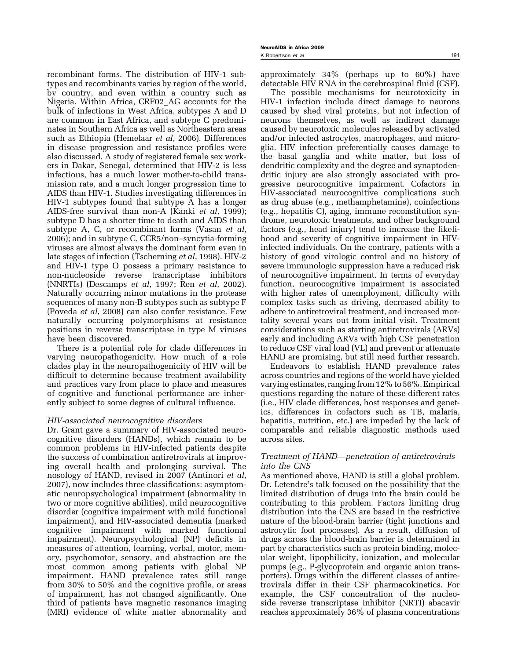recombinant forms. The distribution of HIV-1 subtypes and recombinants varies by region of the world, by country, and even within a country such as Nigeria. Within Africa, CRF02\_AG accounts for the bulk of infections in West Africa, subtypes A and D are common in East Africa, and subtype C predominates in Southern Africa as well as Northeastern areas such as Ethiopia (Hemelaar et al, 2006). Differences in disease progression and resistance profiles were also discussed. A study of registered female sex workers in Dakar, Senegal, determined that HIV-2 is less infectious, has a much lower mother-to-child transmission rate, and a much longer progression time to AIDS than HIV-1. Studies investigating differences in HIV-1 subtypes found that subtype A has a longer AIDS-free survival than non-A (Kanki et al, 1999); subtype D has a shorter time to death and AIDS than subtype A, C, or recombinant forms (Vasan *et al*, 2006); and in subtype C, CCR5/non–syncytia-forming viruses are almost always the dominant form even in late stages of infection (Tscherning et al, 1998). HIV-2 and HIV-1 type O possess a primary resistance to non-nucleoside reverse transcriptase inhibitors (NNRTIs) (Descamps et al, 1997; Ren et al, 2002). Naturally occurring minor mutations in the protease sequences of many non-B subtypes such as subtype F (Poveda et al, 2008) can also confer resistance. Few naturally occurring polymorphisms at resistance positions in reverse transcriptase in type M viruses have been discovered.

There is a potential role for clade differences in varying neuropathogenicity. How much of a role clades play in the neuropathogenicity of HIV will be difficult to determine because treatment availability and practices vary from place to place and measures of cognitive and functional performance are inherently subject to some degree of cultural influence.

# HIV-associated neurocognitive disorders

Dr. Grant gave a summary of HIV-associated neurocognitive disorders (HANDs), which remain to be common problems in HIV-infected patients despite the success of combination antiretrovirals at improving overall health and prolonging survival. The nosology of HAND, revised in 2007 (Antinori et al, 2007), now includes three classifications: asymptomatic neuropsychological impairment (abnormality in two or more cognitive abilities), mild neurocognitive disorder (cognitive impairment with mild functional impairment), and HIV-associated dementia (marked cognitive impairment with marked functional impairment). Neuropsychological (NP) deficits in measures of attention, learning, verbal, motor, memory, psychomotor, sensory, and abstraction are the most common among patients with global NP impairment. HAND prevalence rates still range from 30% to 50% and the cognitive profile, or areas of impairment, has not changed significantly. One third of patients have magnetic resonance imaging (MRI) evidence of white matter abnormality and approximately 34% (perhaps up to 60%) have detectable HIV RNA in the cerebrospinal fluid (CSF).

The possible mechanisms for neurotoxicity in HIV-1 infection include direct damage to neurons caused by shed viral proteins, but not infection of neurons themselves, as well as indirect damage caused by neurotoxic molecules released by activated and/or infected astrocytes, macrophages, and microglia. HIV infection preferentially causes damage to the basal ganglia and white matter, but loss of dendritic complexity and the degree and synaptodendritic injury are also strongly associated with progressive neurocognitive impairment. Cofactors in HIV-associated neurocognitive complications such as drug abuse (e.g., methamphetamine), coinfections (e.g., hepatitis C), aging, immune reconstitution syndrome, neurotoxic treatments, and other background factors (e.g., head injury) tend to increase the likelihood and severity of cognitive impairment in HIVinfected individuals. On the contrary, patients with a history of good virologic control and no history of severe immunologic suppression have a reduced risk of neurocognitive impairment. In terms of everyday function, neurocognitive impairment is associated with higher rates of unemployment, difficulty with complex tasks such as driving, decreased ability to adhere to antiretroviral treatment, and increased mortality several years out from initial visit. Treatment considerations such as starting antiretrovirals (ARVs) early and including ARVs with high CSF penetration to reduce CSF viral load (VL) and prevent or attenuate HAND are promising, but still need further research.

Endeavors to establish HAND prevalence rates across countries and regions of the world have yielded varying estimates, ranging from 12% to 56%. Empirical questions regarding the nature of these different rates (i.e., HIV clade differences, host responses and genetics, differences in cofactors such as TB, malaria, hepatitis, nutrition, etc.) are impeded by the lack of comparable and reliable diagnostic methods used across sites.

# Treatment of HAND—penetration of antiretrovirals into the CNS

As mentioned above, HAND is still a global problem. Dr. Letendre's talk focused on the possibility that the limited distribution of drugs into the brain could be contributing to this problem. Factors limiting drug distribution into the CNS are based in the restrictive nature of the blood-brain barrier (tight junctions and astrocytic foot processes). As a result, diffusion of drugs across the blood-brain barrier is determined in part by characteristics such as protein binding, molecular weight, lipophilicity, ionization, and molecular pumps (e.g., P-glycoprotein and organic anion transporters). Drugs within the different classes of antiretrovirals differ in their CSF pharmacokinetics. For example, the CSF concentration of the nucleoside reverse transcriptase inhibitor (NRTI) abacavir reaches approximately 36% of plasma concentrations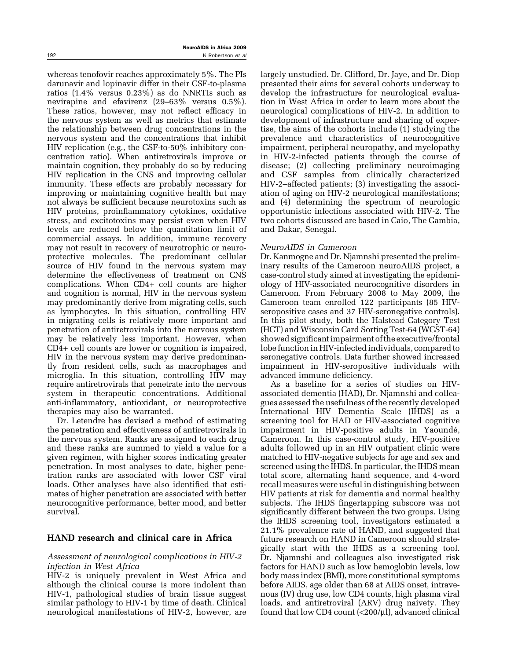whereas tenofovir reaches approximately 5%. The PIs darunavir and lopinavir differ in their CSF-to-plasma ratios (1.4% versus 0.23%) as do NNRTIs such as nevirapine and efavirenz (29–63% versus 0.5%). These ratios, however, may not reflect efficacy in the nervous system as well as metrics that estimate the relationship between drug concentrations in the nervous system and the concentrations that inhibit HIV replication (e.g., the CSF-to-50% inhibitory concentration ratio). When antiretrovirals improve or maintain cognition, they probably do so by reducing HIV replication in the CNS and improving cellular immunity. These effects are probably necessary for improving or maintaining cognitive health but may not always be sufficient because neurotoxins such as HIV proteins, proinflammatory cytokines, oxidative stress, and excitotoxins may persist even when HIV levels are reduced below the quantitation limit of commercial assays. In addition, immune recovery may not result in recovery of neurotrophic or neuroprotective molecules. The predominant cellular source of HIV found in the nervous system may determine the effectiveness of treatment on CNS complications. When CD4+ cell counts are higher and cognition is normal, HIV in the nervous system may predominantly derive from migrating cells, such as lymphocytes. In this situation, controlling HIV in migrating cells is relatively more important and penetration of antiretrovirals into the nervous system may be relatively less important. However, when CD4+ cell counts are lower or cognition is impaired, HIV in the nervous system may derive predominantly from resident cells, such as macrophages and microglia. In this situation, controlling HIV may require antiretrovirals that penetrate into the nervous system in therapeutic concentrations. Additional anti-inflammatory, antioxidant, or neuroprotective therapies may also be warranted.

Dr. Letendre has devised a method of estimating the penetration and effectiveness of antiretrovirals in the nervous system. Ranks are assigned to each drug and these ranks are summed to yield a value for a given regimen, with higher scores indicating greater penetration. In most analyses to date, higher penetration ranks are associated with lower CSF viral loads. Other analyses have also identified that estimates of higher penetration are associated with better neurocognitive performance, better mood, and better survival.

# HAND research and clinical care in Africa

# Assessment of neurological complications in HIV-2 infection in West Africa

HIV-2 is uniquely prevalent in West Africa and although the clinical course is more indolent than HIV-1, pathological studies of brain tissue suggest similar pathology to HIV-1 by time of death. Clinical neurological manifestations of HIV-2, however, are largely unstudied. Dr. Clifford, Dr. Jaye, and Dr. Diop presented their aims for several cohorts underway to develop the infrastructure for neurological evaluation in West Africa in order to learn more about the neurological complications of HIV-2. In addition to development of infrastructure and sharing of expertise, the aims of the cohorts include (1) studying the prevalence and characteristics of neurocognitive impairment, peripheral neuropathy, and myelopathy in HIV-2-infected patients through the course of disease; (2) collecting preliminary neuroimaging and CSF samples from clinically characterized HIV-2–affected patients; (3) investigating the association of aging on HIV-2 neurological manifestations; and (4) determining the spectrum of neurologic opportunistic infections associated with HIV-2. The two cohorts discussed are based in Caio, The Gambia, and Dakar, Senegal.

#### NeuroAIDS in Cameroon

Dr. Kanmogne and Dr. Njamnshi presented the preliminary results of the Cameroon neuroAIDS project, a case-control study aimed at investigating the epidemiology of HIV-associated neurocognitive disorders in Cameroon. From February 2008 to May 2009, the Cameroon team enrolled 122 participants (85 HIVseropositive cases and 37 HIV-seronegative controls). In this pilot study, both the Halstead Category Test (HCT) and Wisconsin Card Sorting Test-64 (WCST-64) showed significant impairment of the executive/frontal lobe function in HIV-infected individuals, compared to seronegative controls. Data further showed increased impairment in HIV-seropositive individuals with advanced immune deficiency.

As a baseline for a series of studies on HIVassociated dementia (HAD), Dr. Njamnshi and colleagues assessed the usefulness of the recently developed International HIV Dementia Scale (IHDS) as a screening tool for HAD or HIV-associated cognitive impairment in HIV-positive adults in Yaoundé, Cameroon. In this case-control study, HIV-positive adults followed up in an HIV outpatient clinic were matched to HIV-negative subjects for age and sex and screened using the IHDS. In particular, the IHDS mean total score, alternating hand sequence, and 4-word recall measures were useful in distinguishing between HIV patients at risk for dementia and normal healthy subjects. The IHDS fingertapping subscore was not significantly different between the two groups. Using the IHDS screening tool, investigators estimated a 21.1% prevalence rate of HAND, and suggested that future research on HAND in Cameroon should strategically start with the IHDS as a screening tool. Dr. Njamnshi and colleagues also investigated risk factors for HAND such as low hemoglobin levels, low body mass index (BMI), more constitutional symptoms before AIDS, age older than 68 at AIDS onset, intravenous (IV) drug use, low CD4 counts, high plasma viral loads, and antiretroviral (ARV) drug naivety. They found that low CD4 count  $\left( < 200/ \mu \right)$ , advanced clinical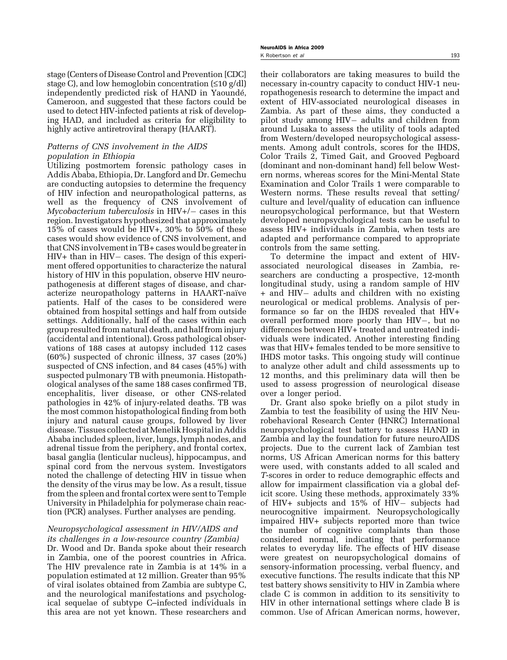stage (Centers of Disease Control and Prevention [CDC] stage C), and low hemoglobin concentration  $(\leq 10 \text{ g/d})$ independently predicted risk of HAND in Yaoundé, Cameroon, and suggested that these factors could be used to detect HIV-infected patients at risk of developing HAD, and included as criteria for eligibility to highly active antiretroviral therapy (HAART).

# Patterns of CNS involvement in the AIDS population in Ethiopia

Utilizing postmortem forensic pathology cases in Addis Ababa, Ethiopia, Dr. Langford and Dr. Gemechu are conducting autopsies to determine the frequency of HIV infection and neuropathological patterns, as well as the frequency of CNS involvement of Mycobacterium tuberculosis in HIV+/– cases in this region. Investigators hypothesized that approximately 15% of cases would be HIV+, 30% to 50% of these cases would show evidence of CNS involvement, and that CNS involvement in TB+ cases would be greater in HIV+ than in HIV- cases. The design of this experiment offered opportunities to characterize the natural history of HIV in this population, observe HIV neuropathogenesis at different stages of disease, and characterize neuropathology patterns in HAART-naïve patients. Half of the cases to be considered were obtained from hospital settings and half from outside settings. Additionally, half of the cases within each group resulted from natural death, and half from injury (accidental and intentional). Gross pathological observations of 188 cases at autopsy included 112 cases (60%) suspected of chronic illness, 37 cases (20%) suspected of CNS infection, and 84 cases (45%) with suspected pulmonary TB with pneumonia. Histopathological analyses of the same 188 cases confirmed TB, encephalitis, liver disease, or other CNS-related pathologies in 42% of injury-related deaths. TB was the most common histopathological finding from both injury and natural cause groups, followed by liver disease. Tissues collected atMenelik Hospital in Addis Ababa included spleen, liver, lungs, lymph nodes, and adrenal tissue from the periphery, and frontal cortex, basal ganglia (lenticular nucleus), hippocampus, and spinal cord from the nervous system. Investigators noted the challenge of detecting HIV in tissue when the density of the virus may be low. As a result, tissue from the spleen and frontal cortex were sent to Temple University in Philadelphia for polymerase chain reaction (PCR) analyses. Further analyses are pending.

### Neuropsychological assessment in HIV/AIDS and its challenges in a low-resource country (Zambia)

Dr. Wood and Dr. Banda spoke about their research in Zambia, one of the poorest countries in Africa. The HIV prevalence rate in Zambia is at 14% in a population estimated at 12 million. Greater than 95% of viral isolates obtained from Zambia are subtype C, and the neurological manifestations and psychological sequelae of subtype C–infected individuals in this area are not yet known. These researchers and their collaborators are taking measures to build the necessary in-country capacity to conduct HIV-1 neuropathogenesis research to determine the impact and extent of HIV-associated neurological diseases in Zambia. As part of these aims, they conducted a pilot study among HIV- adults and children from around Lusaka to assess the utility of tools adapted from Western/developed neuropsychological assessments. Among adult controls, scores for the IHDS, Color Trails 2, Timed Gait, and Grooved Pegboard (dominant and non-dominant hand) fell below Western norms, whereas scores for the Mini-Mental State Examination and Color Trails 1 were comparable to Western norms. These results reveal that setting/ culture and level/quality of education can influence neuropsychological performance, but that Western developed neuropsychological tests can be useful to assess HIV+ individuals in Zambia, when tests are adapted and performance compared to appropriate controls from the same setting.

To determine the impact and extent of HIVassociated neurological diseases in Zambia, researchers are conducting a prospective, 12-month longitudinal study, using a random sample of HIV + and HIV- adults and children with no existing neurological or medical problems. Analysis of performance so far on the IHDS revealed that HIV+ overall performed more poorly than HIV-, but no differences between HIV+ treated and untreated individuals were indicated. Another interesting finding was that HIV+ females tended to be more sensitive to IHDS motor tasks. This ongoing study will continue to analyze other adult and child assessments up to 12 months, and this preliminary data will then be used to assess progression of neurological disease over a longer period.

Dr. Grant also spoke briefly on a pilot study in Zambia to test the feasibility of using the HIV Neurobehavioral Research Center (HNRC) International neuropsychological test battery to assess HAND in Zambia and lay the foundation for future neuroAIDS projects. Due to the current lack of Zambian test norms, US African American norms for this battery were used, with constants added to all scaled and T-scores in order to reduce demographic effects and allow for impairment classification via a global deficit score. Using these methods, approximately 33% of HIV+ subjects and 15% of HIV- subjects had neurocognitive impairment. Neuropsychologically impaired HIV+ subjects reported more than twice the number of cognitive complaints than those considered normal, indicating that performance relates to everyday life. The effects of HIV disease were greatest on neuropsychological domains of sensory-information processing, verbal fluency, and executive functions. The results indicate that this NP test battery shows sensitivity to HIV in Zambia where clade C is common in addition to its sensitivity to HIV in other international settings where clade B is common. Use of African American norms, however,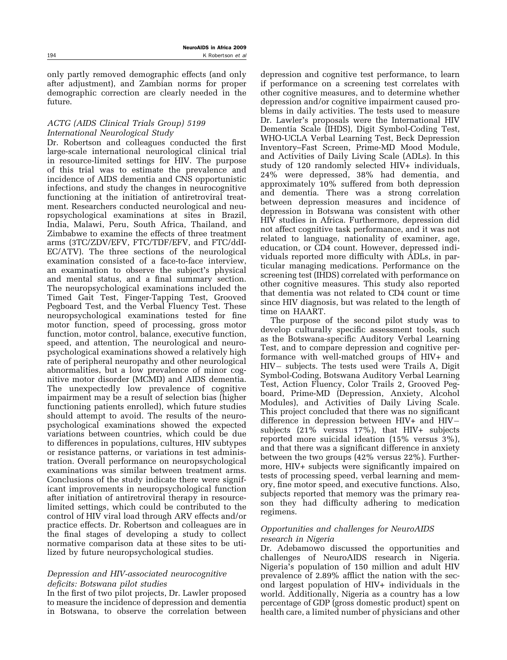only partly removed demographic effects (and only after adjustment), and Zambian norms for proper demographic correction are clearly needed in the future.

# ACTG (AIDS Clinical Trials Group) 5199 International Neurological Study

Dr. Robertson and colleagues conducted the first large-scale international neurological clinical trial in resource-limited settings for HIV. The purpose of this trial was to estimate the prevalence and incidence of AIDS dementia and CNS opportunistic infections, and study the changes in neurocognitive functioning at the initiation of antiretroviral treatment. Researchers conducted neurological and neuropsychological examinations at sites in Brazil, India, Malawi, Peru, South Africa, Thailand, and Zimbabwe to examine the effects of three treatment arms (3TC/ZDV/EFV, FTC/TDF/EFV, and FTC/ddI-EC/ATV). The three sections of the neurological examination consisted of a face-to-face interview, an examination to observe the subject's physical and mental status, and a final summary section. The neuropsychological examinations included the Timed Gait Test, Finger-Tapping Test, Grooved Pegboard Test, and the Verbal Fluency Test. These neuropsychological examinations tested for fine motor function, speed of processing, gross motor function, motor control, balance, executive function, speed, and attention, The neurological and neuropsychological examinations showed a relatively high rate of peripheral neuropathy and other neurological abnormalities, but a low prevalence of minor cognitive motor disorder (MCMD) and AIDS dementia. The unexpectedly low prevalence of cognitive impairment may be a result of selection bias (higher functioning patients enrolled), which future studies should attempt to avoid. The results of the neuropsychological examinations showed the expected variations between countries, which could be due to differences in populations, cultures, HIV subtypes or resistance patterns, or variations in test administration. Overall performance on neuropsychological examinations was similar between treatment arms. Conclusions of the study indicate there were significant improvements in neuropsychological function after initiation of antiretroviral therapy in resourcelimited settings, which could be contributed to the control of HIV viral load through ARV effects and/or practice effects. Dr. Robertson and colleagues are in the final stages of developing a study to collect normative comparison data at these sites to be utilized by future neuropsychological studies.

# Depression and HIV-associated neurocognitive deficits: Botswana pilot studies

In the first of two pilot projects, Dr. Lawler proposed to measure the incidence of depression and dementia in Botswana, to observe the correlation between depression and cognitive test performance, to learn if performance on a screening test correlates with other cognitive measures, and to determine whether depression and/or cognitive impairment caused problems in daily activities. The tests used to measure Dr. Lawler's proposals were the International HIV Dementia Scale (IHDS), Digit Symbol-Coding Test, WHO-UCLA Verbal Learning Test, Beck Depression Inventory–Fast Screen, Prime-MD Mood Module, and Activities of Daily Living Scale (ADLs). In this study of 120 randomly selected HIV+ individuals, 24% were depressed, 38% had dementia, and approximately 10% suffered from both depression and dementia. There was a strong correlation between depression measures and incidence of depression in Botswana was consistent with other HIV studies in Africa. Furthermore, depression did not affect cognitive task performance, and it was not related to language, nationality of examiner, age, education, or CD4 count. However, depressed individuals reported more difficulty with ADLs, in particular managing medications. Performance on the screening test (IHDS) correlated with performance on other cognitive measures. This study also reported that dementia was not related to CD4 count or time since HIV diagnosis, but was related to the length of time on HAART.

The purpose of the second pilot study was to develop culturally specific assessment tools, such as the Botswana-specific Auditory Verbal Learning Test, and to compare depression and cognitive performance with well-matched groups of HIV+ and HIV- subjects. The tests used were Trails A, Digit Symbol-Coding, Botswana Auditory Verbal Learning Test, Action Fluency, Color Trails 2, Grooved Pegboard, Prime-MD (Depression, Anxiety, Alcohol Modules), and Activities of Daily Living Scale. This project concluded that there was no significant difference in depression between HIV+ and HIV subjects (21% versus 17%), that HIV+ subjects reported more suicidal ideation (15% versus 3%), and that there was a significant difference in anxiety between the two groups (42% versus 22%). Furthermore, HIV+ subjects were significantly impaired on tests of processing speed, verbal learning and memory, fine motor speed, and executive functions. Also, subjects reported that memory was the primary reason they had difficulty adhering to medication regimens.

# Opportunities and challenges for NeuroAIDS research in Nigeria

Dr. Adebamowo discussed the opportunities and challenges of NeuroAIDS research in Nigeria. Nigeria's population of 150 million and adult HIV prevalence of 2.89% afflict the nation with the second largest population of HIV+ individuals in the world. Additionally, Nigeria as a country has a low percentage of GDP (gross domestic product) spent on health care, a limited number of physicians and other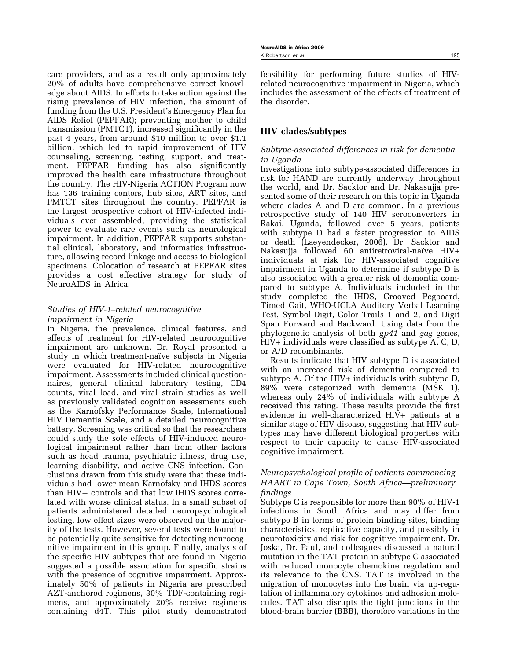care providers, and as a result only approximately 20% of adults have comprehensive correct knowledge about AIDS. In efforts to take action against the rising prevalence of HIV infection, the amount of funding from the U.S. President's Emergency Plan for AIDS Relief (PEPFAR); preventing mother to child transmission (PMTCT), increased significantly in the past 4 years, from around \$10 million to over \$1.1 billion, which led to rapid improvement of HIV counseling, screening, testing, support, and treatment. PEPFAR funding has also significantly improved the health care infrastructure throughout the country. The HIV-Nigeria ACTION Program now has 136 training centers, hub sites, ART sites, and PMTCT sites throughout the country. PEPFAR is the largest prospective cohort of HIV-infected individuals ever assembled, providing the statistical power to evaluate rare events such as neurological impairment. In addition, PEPFAR supports substantial clinical, laboratory, and informatics infrastructure, allowing record linkage and access to biological specimens. Colocation of research at PEPFAR sites provides a cost effective strategy for study of NeuroAIDS in Africa.

# Studies of HIV-1–related neurocognitive impairment in Nigeria

In Nigeria, the prevalence, clinical features, and effects of treatment for HIV-related neurocognitive impairment are unknown. Dr. Royal presented a study in which treatment-naïve subjects in Nigeria were evaluated for HIV-related neurocognitive impairment. Assessments included clinical questionnaires, general clinical laboratory testing, CD4 counts, viral load, and viral strain studies as well as previously validated cognition assessments such as the Karnofsky Performance Scale, International HIV Dementia Scale, and a detailed neurocognitive battery. Screening was critical so that the researchers could study the sole effects of HIV-induced neurological impairment rather than from other factors such as head trauma, psychiatric illness, drug use, learning disability, and active CNS infection. Conclusions drawn from this study were that these individuals had lower mean Karnofsky and IHDS scores than HIV- controls and that low IHDS scores correlated with worse clinical status. In a small subset of patients administered detailed neuropsychological testing, low effect sizes were observed on the majority of the tests. However, several tests were found to be potentially quite sensitive for detecting neurocognitive impairment in this group. Finally, analysis of the specific HIV subtypes that are found in Nigeria suggested a possible association for specific strains with the presence of cognitive impairment. Approximately 50% of patients in Nigeria are prescribed AZT-anchored regimens, 30% TDF-containing regimens, and approximately 20% receive regimens containing d4T. This pilot study demonstrated

# HIV clades/subtypes

# Subtype-associated differences in risk for dementia in Uganda

Investigations into subtype-associated differences in risk for HAND are currently underway throughout the world, and Dr. Sacktor and Dr. Nakasujja presented some of their research on this topic in Uganda where clades A and D are common. In a previous retrospective study of 140 HIV seroconverters in Rakai, Uganda, followed over 5 years, patients with subtype D had a faster progression to AIDS or death (Laeyendecker, 2006). Dr. Sacktor and Nakasujja followed 60 antiretroviral-naïve HIV+ individuals at risk for HIV-associated cognitive impairment in Uganda to determine if subtype D is also associated with a greater risk of dementia compared to subtype A. Individuals included in the study completed the IHDS, Grooved Pegboard, Timed Gait, WHO-UCLA Auditory Verbal Learning Test, Symbol-Digit, Color Trails 1 and 2, and Digit Span Forward and Backward. Using data from the phylogenetic analysis of both gp41 and gag genes, HIV+ individuals were classified as subtype A, C, D, or A/D recombinants.

Results indicate that HIV subtype D is associated with an increased risk of dementia compared to subtype A. Of the HIV+ individuals with subtype D, 89% were categorized with dementia (MSK 1), whereas only 24% of individuals with subtype A received this rating. These results provide the first evidence in well-characterized HIV+ patients at a similar stage of HIV disease, suggesting that HIV subtypes may have different biological properties with respect to their capacity to cause HIV-associated cognitive impairment.

# Neuropsychological profile of patients commencing HAART in Cape Town, South Africa—preliminary findings

Subtype C is responsible for more than 90% of HIV-1 infections in South Africa and may differ from subtype B in terms of protein binding sites, binding characteristics, replicative capacity, and possibly in neurotoxicity and risk for cognitive impairment. Dr. Joska, Dr. Paul, and colleagues discussed a natural mutation in the TAT protein in subtype C associated with reduced monocyte chemokine regulation and its relevance to the CNS. TAT is involved in the migration of monocytes into the brain via up-regulation of inflammatory cytokines and adhesion molecules. TAT also disrupts the tight junctions in the blood-brain barrier (BBB), therefore variations in the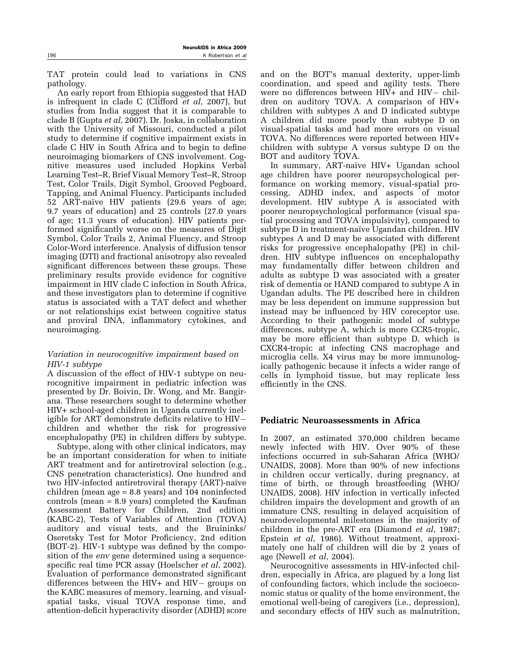TAT protein could lead to variations in CNS pathology.

An early report from Ethiopia suggested that HAD is infrequent in clade C (Clifford et al, 2007), but studies from India suggest that it is comparable to clade B (Gupta et al, 2007). Dr. Joska, in collaboration with the University of Missouri, conducted a pilot study to determine if cognitive impairment exists in clade C HIV in South Africa and to begin to define neuroimaging biomarkers of CNS involvement. Cognitive measures used included Hopkins Verbal Learning Test–R, Brief Visual Memory Test–R, Stroop Test, Color Trails, Digit Symbol, Grooved Pegboard, Tapping, and Animal Fluency. Participants included 52 ART-naïve HIV patients (29.6 years of age; 9.7 years of education) and 25 controls (27.0 years of age; 11.3 years of education). HIV patients performed significantly worse on the measures of Digit Symbol, Color Trails 2, Animal Fluency, and Stroop Color-Word interference. Analysis of diffusion tensor imaging (DTI) and fractional anisotropy also revealed significant differences between these groups. These preliminary results provide evidence for cognitive impairment in HIV clade C infection in South Africa, and these investigators plan to determine if cognitive status is associated with a TAT defect and whether or not relationships exist between cognitive status and proviral DNA, inflammatory cytokines, and neuroimaging.

# Variation in neurocognitive impairment based on HIV-1 subtype

A discussion of the effect of HIV-1 subtype on neurocognitive impairment in pediatric infection was presented by Dr. Boivin, Dr. Wong, and Mr. Bangirana. These researchers sought to determine whether HIV+ school-aged children in Uganda currently ineligible for ART demonstrate deficits relative to HIV children and whether the risk for progressive encephalopathy (PE) in children differs by subtype.

Subtype, along with other clinical indicators, may be an important consideration for when to initiate ART treatment and for antiretroviral selection (e.g., CNS penetration characteristics). One hundred and two HIV-infected antiretroviral therapy (ART)-naïve children (mean age = 8.8 years) and 104 noninfected controls (mean = 8.9 years) completed the Kaufman Assessment Battery for Children, 2nd edition (KABC-2), Tests of Variables of Attention (TOVA) auditory and visual tests, and the Bruininks/ Oseretsky Test for Motor Proficiency, 2nd edition (BOT-2). HIV-1 subtype was defined by the composition of the *env* gene determined using a sequencespecific real time PCR assay (Hoelscher *et al*, 2002). Evaluation of performance demonstrated significant differences between the HIV+ and HIV- groups on the KABC measures of memory, learning, and visualspatial tasks, visual TOVA response time, and attention-deficit hyperactivity disorder (ADHD) score and on the BOT's manual dexterity, upper-limb coordination, and speed and agility tests. There were no differences between HIV+ and HIV- children on auditory TOVA. A comparison of HIV+ children with subtypes A and D indicated subtype A children did more poorly than subtype D on visual-spatial tasks and had more errors on visual TOVA. No differences were reported between HIV+ children with subtype A versus subtype D on the BOT and auditory TOVA.

In summary, ART-naïve HIV+ Ugandan school age children have poorer neuropsychological performance on working memory, visual-spatial processing, ADHD index, and aspects of motor development. HIV subtype A is associated with poorer neuropsychological performance (visual spatial processing and TOVA impulsivity), compared to subtype D in treatment-naïve Ugandan children. HIV subtypes A and D may be associated with different risks for progressive encephalopathy (PE) in children. HIV subtype influences on encephalopathy may fundamentally differ between children and adults as subtype D was associated with a greater risk of dementia or HAND compared to subtype A in Ugandan adults. The PE described here in children may be less dependent on immune suppression but instead may be influenced by HIV coreceptor use. According to their pathogenic model of subtype differences, subtype A, which is more CCR5-tropic, may be more efficient than subtype D, which is CXCR4-tropic at infecting CNS macrophage and microglia cells. X4 virus may be more immunologically pathogenic because it infects a wider range of cells in lymphoid tissue, but may replicate less efficiently in the CNS.

# Pediatric Neuroassessments in Africa

In 2007, an estimated 370,000 children became newly infected with HIV. Over 90% of these infections occurred in sub-Saharan Africa (WHO/ UNAIDS, 2008). More than 90% of new infections in children occur vertically, during pregnancy, at time of birth, or through breastfeeding (WHO/ UNAIDS, 2008). HIV infection in vertically infected children impairs the development and growth of an immature CNS, resulting in delayed acquisition of neurodevelopmental milestones in the majority of children in the pre-ART era (Diamond et al, 1987; Epstein et al, 1986). Without treatment, approximately one half of children will die by 2 years of age (Newell et al, 2004).

Neurocognitive assessments in HIV-infected children, especially in Africa, are plagued by a long list of confounding factors, which include the socioeconomic status or quality of the home environment, the emotional well-being of caregivers (i.e., depression), and secondary effects of HIV such as malnutrition,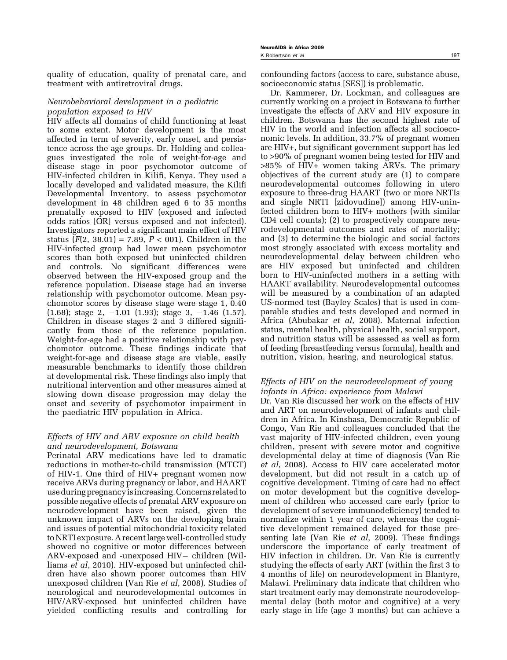quality of education, quality of prenatal care, and treatment with antiretroviral drugs.

### Neurobehavioral development in a pediatric population exposed to HIV

HIV affects all domains of child functioning at least to some extent. Motor development is the most affected in term of severity, early onset, and persistence across the age groups. Dr. Holding and colleagues investigated the role of weight-for-age and disease stage in poor psychomotor outcome of HIV-infected children in Kilifi, Kenya. They used a locally developed and validated measure, the Kilifi Developmental Inventory, to assess psychomotor development in 48 children aged 6 to 35 months prenatally exposed to HIV (exposed and infected odds ratios [OR] versus exposed and not infected). Investigators reported a significant main effect of HIV status  $(F(2, 38.01) = 7.89, P < 0.01)$ . Children in the HIV-infected group had lower mean psychomotor scores than both exposed but uninfected children and controls. No significant differences were observed between the HIV-exposed group and the reference population. Disease stage had an inverse relationship with psychomotor outcome. Mean psychomotor scores by disease stage were stage 1, 0.40  $(1.68)$ ; stage 2,  $-1.01$   $(1.93)$ ; stage 3,  $-1.46$   $(1.57)$ . Children in disease stages 2 and 3 differed significantly from those of the reference population. Weight-for-age had a positive relationship with psychomotor outcome. These findings indicate that weight-for-age and disease stage are viable, easily measurable benchmarks to identify those children at developmental risk. These findings also imply that nutritional intervention and other measures aimed at slowing down disease progression may delay the onset and severity of psychomotor impairment in the paediatric HIV population in Africa.

# Effects of HIV and ARV exposure on child health and neurodevelopment, Botswana

Perinatal ARV medications have led to dramatic reductions in mother-to-child transmission (MTCT) of HIV-1. One third of HIV+ pregnant women now receive ARVs during pregnancy or labor, and HAART useduringpregnancy is increasing.Concerns related to possible negative effects of prenatal ARV exposure on neurodevelopment have been raised, given the unknown impact of ARVs on the developing brain and issues of potential mitochondrial toxicity related to NRTI exposure. A recent large well-controlled study showed no cognitive or motor differences between ARV-exposed and -unexposed HIV – children (Williams et al, 2010). HIV-exposed but uninfected children have also shown poorer outcomes than HIV unexposed children (Van Rie et al, 2008). Studies of neurological and neurodevelopmental outcomes in HIV/ARV-exposed but uninfected children have yielded conflicting results and controlling for

confounding factors (access to care, substance abuse, socioeconomic status [SES]) is problematic.

Dr. Kammerer, Dr. Lockman, and colleagues are currently working on a project in Botswana to further investigate the effects of ARV and HIV exposure in children. Botswana has the second highest rate of HIV in the world and infection affects all socioeconomic levels. In addition, 33.7% of pregnant women are HIV+, but significant government support has led to >90% of pregnant women being tested for HIV and >85% of HIV+ women taking ARVs. The primary objectives of the current study are (1) to compare neurodevelopmental outcomes following in utero exposure to three-drug HAART (two or more NRTIs and single NRTI [zidovudine]) among HIV-uninfected children born to HIV+ mothers (with similar CD4 cell counts); (2) to prospectively compare neurodevelopmental outcomes and rates of mortality; and (3) to determine the biologic and social factors most strongly associated with excess mortality and neurodevelopmental delay between children who are HIV exposed but uninfected and children born to HIV-uninfected mothers in a setting with HAART availability. Neurodevelopmental outcomes will be measured by a combination of an adapted US-normed test (Bayley Scales) that is used in comparable studies and tests developed and normed in Africa (Abubakar et al, 2008). Maternal infection status, mental health, physical health, social support, and nutrition status will be assessed as well as form of feeding (breastfeeding versus formula), health and nutrition, vision, hearing, and neurological status.

# Effects of HIV on the neurodevelopment of young infants in Africa: experience from Malawi

Dr. Van Rie discussed her work on the effects of HIV and ART on neurodevelopment of infants and children in Africa. In Kinshasa, Democratic Republic of Congo, Van Rie and colleagues concluded that the vast majority of HIV-infected children, even young children, present with severe motor and cognitive developmental delay at time of diagnosis (Van Rie et al, 2008). Access to HIV care accelerated motor development, but did not result in a catch up of cognitive development. Timing of care had no effect on motor development but the cognitive development of children who accessed care early (prior to development of severe immunodeficiency) tended to normalize within 1 year of care, whereas the cognitive development remained delayed for those presenting late (Van Rie *et al*, 2009). These findings underscore the importance of early treatment of HIV infection in children. Dr. Van Rie is currently studying the effects of early ART (within the first 3 to 4 months of life) on neurodevelopment in Blantyre, Malawi. Preliminary data indicate that children who start treatment early may demonstrate neurodevelopmental delay (both motor and cognitive) at a very early stage in life (age 3 months) but can achieve a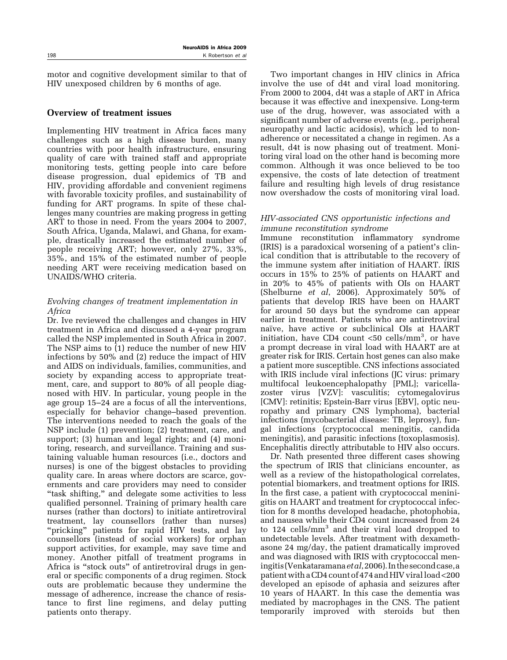motor and cognitive development similar to that of HIV unexposed children by 6 months of age.

# Overview of treatment issues

Implementing HIV treatment in Africa faces many challenges such as a high disease burden, many countries with poor health infrastructure, ensuring quality of care with trained staff and appropriate monitoring tests, getting people into care before disease progression, dual epidemics of TB and HIV, providing affordable and convenient regimens with favorable toxicity profiles, and sustainability of funding for ART programs. In spite of these challenges many countries are making progress in getting ART to those in need. From the years 2004 to 2007, South Africa, Uganda, Malawi, and Ghana, for example, drastically increased the estimated number of people receiving ART; however, only 27%, 33%, 35%, and 15% of the estimated number of people needing ART were receiving medication based on UNAIDS/WHO criteria.

# Evolving changes of treatment implementation in Africa

Dr. Ive reviewed the challenges and changes in HIV treatment in Africa and discussed a 4-year program called the NSP implemented in South Africa in 2007. The NSP aims to (1) reduce the number of new HIV infections by 50% and (2) reduce the impact of HIV and AIDS on individuals, families, communities, and society by expanding access to appropriate treatment, care, and support to 80% of all people diagnosed with HIV. In particular, young people in the age group 15–24 are a focus of all the interventions, especially for behavior change–based prevention. The interventions needed to reach the goals of the NSP include (1) prevention; (2) treatment, care, and support; (3) human and legal rights; and (4) monitoring, research, and surveillance. Training and sustaining valuable human resources (i.e., doctors and nurses) is one of the biggest obstacles to providing quality care. In areas where doctors are scarce, governments and care providers may need to consider "task shifting," and delegate some activities to less qualified personnel. Training of primary health care nurses (rather than doctors) to initiate antiretroviral treatment, lay counsellors (rather than nurses) "pricking" patients for rapid HIV tests, and lay counsellors (instead of social workers) for orphan support activities, for example, may save time and money. Another pitfall of treatment programs in Africa is "stock outs" of antiretroviral drugs in general or specific components of a drug regimen. Stock outs are problematic because they undermine the message of adherence, increase the chance of resistance to first line regimens, and delay putting patients onto therapy.

Two important changes in HIV clinics in Africa involve the use of d4t and viral load monitoring. From 2000 to 2004, d4t was a staple of ART in Africa because it was effective and inexpensive. Long-term use of the drug, however, was associated with a significant number of adverse events (e.g., peripheral neuropathy and lactic acidosis), which led to nonadherence or necessitated a change in regimen. As a result, d4t is now phasing out of treatment. Monitoring viral load on the other hand is becoming more common. Although it was once believed to be too expensive, the costs of late detection of treatment failure and resulting high levels of drug resistance now overshadow the costs of monitoring viral load.

# HIV-associated CNS opportunistic infections and immune reconstitution syndrome

Immune reconstitution inflammatory syndrome (IRIS) is a paradoxical worsening of a patient's clinical condition that is attributable to the recovery of the immune system after initiation of HAART. IRIS occurs in 15% to 25% of patients on HAART and in 20% to 45% of patients with OIs on HAART (Shelburne et al, 2006). Approximately 50% of patients that develop IRIS have been on HAART for around 50 days but the syndrome can appear earlier in treatment. Patients who are antiretroviral naïve, have active or subclinical OIs at HAART initiation, have CD4 count  $<$ 50 cells/mm<sup>3</sup>, or have a prompt decrease in viral load with HAART are at greater risk for IRIS. Certain host genes can also make a patient more susceptible. CNS infections associated with IRIS include viral infections (JC virus: primary multifocal leukoencephalopathy [PML]; varicellazoster virus [VZV]: vasculitis; cytomegalovirus [CMV]: retinitis; Epstein-Barr virus [EBV], optic neuropathy and primary CNS lymphoma), bacterial infections (mycobacterial disease: TB, leprosy), fungal infections (cryptococcal meningitis, candida meningitis), and parasitic infections (toxoplasmosis). Encephalitis directly attributable to HIV also occurs.

Dr. Nath presented three different cases showing the spectrum of IRIS that clinicians encounter, as well as a review of the histopathological correlates, potential biomarkers, and treatment options for IRIS. In the first case, a patient with cryptococcal meninigitis on HAART and treatment for cryptococcal infection for 8 months developed headache, photophobia, and nausea while their CD4 count increased from 24 to 124 cells/mm<sup>3</sup> and their viral load dropped to undetectable levels. After treatment with dexamethasone 24 mg/day, the patient dramatically improved and was diagnosed with IRIS with cryptococcal meningitis (Venkataramanaetal,2006). In thesecond case,a patient with a CD4 count of 474 and HIV viral load<200 developed an episode of aphasia and seizures after 10 years of HAART. In this case the dementia was mediated by macrophages in the CNS. The patient temporarily improved with steroids but then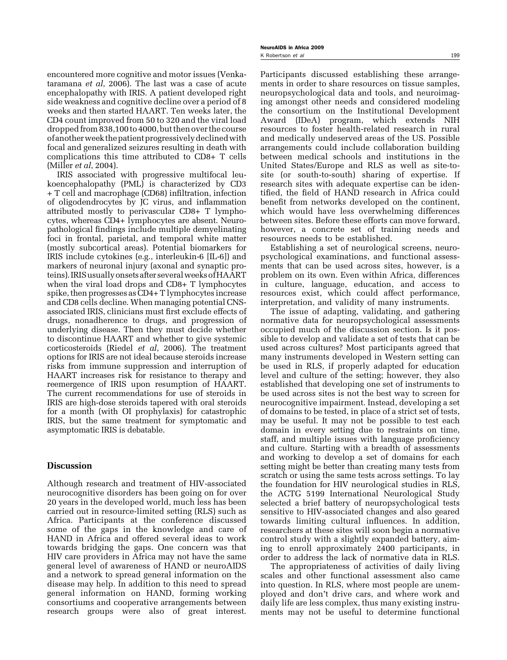encountered more cognitive and motor issues (Venkataramana et al, 2006). The last was a case of acute encephalopathy with IRIS. A patient developed right side weakness and cognitive decline over a period of 8 weeks and then started HAART. Ten weeks later, the CD4 count improved from 50 to 320 and the viral load dropped from 838,100 to 4000, but then over the course of another week the patient progressively declined with focal and generalized seizures resulting in death with complications this time attributed to CD8+ T cells (Miller et al, 2004).

IRIS associated with progressive multifocal leukoencephalopathy (PML) is characterized by CD3 + T cell and macrophage (CD68) infiltration, infection of oligodendrocytes by JC virus, and inflammation attributed mostly to perivascular CD8+ T lymphocytes, whereas CD4+ lymphocytes are absent. Neuropathological findings include multiple demyelinating foci in frontal, parietal, and temporal white matter (mostly subcortical areas). Potential biomarkers for IRIS include cytokines (e.g., interleukin-6 [IL-6]) and markers of neuronal injury (axonal and synaptic proteins). IRISusually onsets after severalweeksofHAART when the viral load drops and CD8+ T lymphocytes spike, then progresses as CD4+ T lymphocytes increase and CD8 cells decline. When managing potential CNSassociated IRIS, clinicians must first exclude effects of drugs, nonadherence to drugs, and progression of underlying disease. Then they must decide whether to discontinue HAART and whether to give systemic corticosteroids (Riedel et al, 2006). The treatment options for IRIS are not ideal because steroids increase risks from immune suppression and interruption of HAART increases risk for resistance to therapy and reemergence of IRIS upon resumption of HAART. The current recommendations for use of steroids in IRIS are high-dose steroids tapered with oral steroids for a month (with OI prophylaxis) for catastrophic IRIS, but the same treatment for symptomatic and asymptomatic IRIS is debatable.

#### Discussion

Although research and treatment of HIV-associated neurocognitive disorders has been going on for over 20 years in the developed world, much less has been carried out in resource-limited setting (RLS) such as Africa. Participants at the conference discussed some of the gaps in the knowledge and care of HAND in Africa and offered several ideas to work towards bridging the gaps. One concern was that HIV care providers in Africa may not have the same general level of awareness of HAND or neuroAIDS and a network to spread general information on the disease may help. In addition to this need to spread general information on HAND, forming working consortiums and cooperative arrangements between research groups were also of great interest.

Participants discussed establishing these arrangements in order to share resources on tissue samples, neuropsychological data and tools, and neuroimaging amongst other needs and considered modeling the consortium on the Institutional Development Award (IDeA) program, which extends NIH resources to foster health-related research in rural and medically undeserved areas of the US. Possible arrangements could include collaboration building between medical schools and institutions in the United States/Europe and RLS as well as site-tosite (or south-to-south) sharing of expertise. If research sites with adequate expertise can be identified, the field of HAND research in Africa could benefit from networks developed on the continent, which would have less overwhelming differences between sites. Before these efforts can move forward, however, a concrete set of training needs and resources needs to be established.

Establishing a set of neurological screens, neuropsychological examinations, and functional assessments that can be used across sites, however, is a problem on its own. Even within Africa, differences in culture, language, education, and access to resources exist, which could affect performance, interpretation, and validity of many instruments.

The issue of adapting, validating, and gathering normative data for neuropsychological assessments occupied much of the discussion section. Is it possible to develop and validate a set of tests that can be used across cultures? Most participants agreed that many instruments developed in Western setting can be used in RLS, if properly adapted for education level and culture of the setting; however, they also established that developing one set of instruments to be used across sites is not the best way to screen for neurocognitive impairment. Instead, developing a set of domains to be tested, in place of a strict set of tests, may be useful. It may not be possible to test each domain in every setting due to restraints on time, staff, and multiple issues with language proficiency and culture. Starting with a breadth of assessments and working to develop a set of domains for each setting might be better than creating many tests from scratch or using the same tests across settings. To lay the foundation for HIV neurological studies in RLS, the ACTG 5199 International Neurological Study selected a brief battery of neuropsychological tests sensitive to HIV-associated changes and also geared towards limiting cultural influences. In addition, researchers at these sites will soon begin a normative control study with a slightly expanded battery, aiming to enroll approximately 2400 participants, in order to address the lack of normative data in RLS.

The appropriateness of activities of daily living scales and other functional assessment also came into question. In RLS, where most people are unemployed and don't drive cars, and where work and daily life are less complex, thus many existing instruments may not be useful to determine functional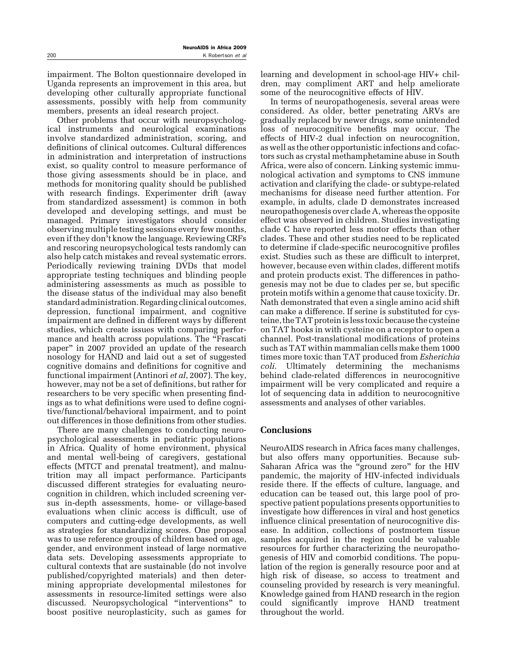impairment. The Bolton questionnaire developed in Uganda represents an improvement in this area, but developing other culturally appropriate functional assessments, possibly with help from community members, presents an ideal research project.

Other problems that occur with neuropsychological instruments and neurological examinations involve standardized administration, scoring, and definitions of clinical outcomes. Cultural differences in administration and interpretation of instructions exist, so quality control to measure performance of those giving assessments should be in place, and methods for monitoring quality should be published with research findings. Experimenter drift (away from standardized assessment) is common in both developed and developing settings, and must be managed. Primary investigators should consider observing multiple testing sessions every few months, even if they don't know the language. Reviewing CRFs and rescoring neuropsychological tests randomly can also help catch mistakes and reveal systematic errors. Periodically reviewing training DVDs that model appropriate testing techniques and blinding people administering assessments as much as possible to the disease status of the individual may also benefit standard administration.Regarding clinical outcomes, depression, functional impairment, and cognitive impairment are defined in different ways by different studies, which create issues with comparing performance and health across populations. The "Frascati paper" in 2007 provided an update of the research nosology for HAND and laid out a set of suggested cognitive domains and definitions for cognitive and functional impairment (Antinori *et al*, 2007). The key, however, may not be a set of definitions, but rather for researchers to be very specific when presenting findings as to what definitions were used to define cognitive/functional/behavioral impairment, and to point out differences in those definitions from other studies.

There are many challenges to conducting neuropsychological assessments in pediatric populations in Africa. Quality of home environment, physical and mental well-being of caregivers, gestational effects (MTCT and prenatal treatment), and malnutrition may all impact performance. Participants discussed different strategies for evaluating neurocognition in children, which included screening versus in-depth assessments, home- or village-based evaluations when clinic access is difficult, use of computers and cutting-edge developments, as well as strategies for standardizing scores. One proposal was to use reference groups of children based on age, gender, and environment instead of large normative data sets. Developing assessments appropriate to cultural contexts that are sustainable (do not involve published/copyrighted materials) and then determining appropriate developmental milestones for assessments in resource-limited settings were also discussed. Neuropsychological "interventions" to boost positive neuroplasticity, such as games for

learning and development in school-age HIV+ children, may compliment ART and help ameliorate some of the neurocognitive effects of HIV.

In terms of neuropathogenesis, several areas were considered. As older, better penetrating ARVs are gradually replaced by newer drugs, some unintended loss of neurocognitive benefits may occur. The effects of HIV-2 dual infection on neurocognition, as well as the other opportunistic infections and cofactors such as crystal methamphetamine abuse in South Africa, were also of concern. Linking systemic immunological activation and symptoms to CNS immune activation and clarifying the clade- or subtype-related mechanisms for disease need further attention. For example, in adults, clade D demonstrates increased neuropathogenesis over clade A, whereas the opposite effect was observed in children. Studies investigating clade C have reported less motor effects than other clades. These and other studies need to be replicated to determine if clade-specific neurocognitive profiles exist. Studies such as these are difficult to interpret, however, because even within clades, different motifs and protein products exist. The differences in pathogenesis may not be due to clades per se, but specific protein motifs within a genome that cause toxicity. Dr. Nath demonstrated that even a single amino acid shift can make a difference. If serine is substituted for cysteine, theTAT protein is less toxic because the cysteine on TAT hooks in with cysteine on a receptor to open a channel. Post-translational modifications of proteins such as TAT within mammalian cells make them 1000 times more toxic than TAT produced from Esherichia coli. Ultimately determining the mechanisms behind clade-related differences in neurocognitive impairment will be very complicated and require a lot of sequencing data in addition to neurocognitive assessments and analyses of other variables.

# **Conclusions**

NeuroAIDS research in Africa faces many challenges, but also offers many opportunities. Because sub-Saharan Africa was the "ground zero" for the HIV pandemic, the majority of HIV-infected individuals reside there. If the effects of culture, language, and education can be teased out, this large pool of prospective patient populations presents opportunities to investigate how differences in viral and host genetics influence clinical presentation of neurocognitive disease. In addition, collections of postmortem tissue samples acquired in the region could be valuable resources for further characterizing the neuropathogenesis of HIV and comorbid conditions. The population of the region is generally resource poor and at high risk of disease, so access to treatment and counseling provided by research is very meaningful. Knowledge gained from HAND research in the region could significantly improve HAND treatment throughout the world.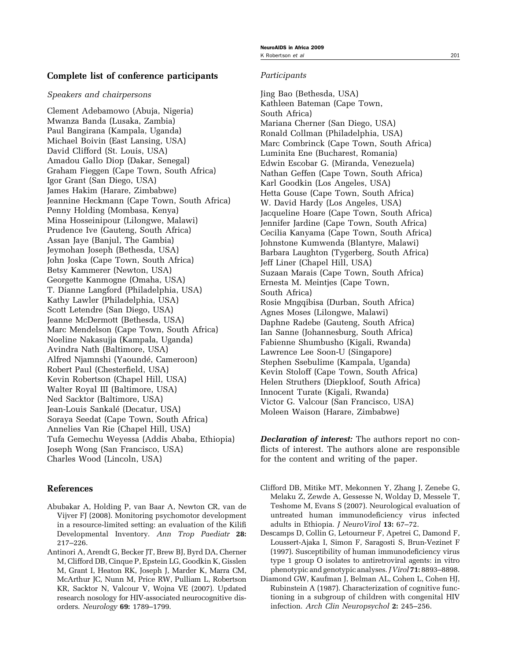# Complete list of conference participants

#### Speakers and chairpersons

Clement Adebamowo (Abuja, Nigeria) Mwanza Banda (Lusaka, Zambia) Paul Bangirana (Kampala, Uganda) Michael Boivin (East Lansing, USA) David Clifford (St. Louis, USA) Amadou Gallo Diop (Dakar, Senegal) Graham Fieggen (Cape Town, South Africa) Igor Grant (San Diego, USA) James Hakim (Harare, Zimbabwe) Jeannine Heckmann (Cape Town, South Africa) Penny Holding (Mombasa, Kenya) Mina Hosseinipour (Lilongwe, Malawi) Prudence Ive (Gauteng, South Africa) Assan Jaye (Banjul, The Gambia) Jeymohan Joseph (Bethesda, USA) John Joska (Cape Town, South Africa) Betsy Kammerer (Newton, USA) Georgette Kanmogne (Omaha, USA) T. Dianne Langford (Philadelphia, USA) Kathy Lawler (Philadelphia, USA) Scott Letendre (San Diego, USA) Jeanne McDermott (Bethesda, USA) Marc Mendelson (Cape Town, South Africa) Noeline Nakasujja (Kampala, Uganda) Avindra Nath (Baltimore, USA) Alfred Njamnshi (Yaoundé, Cameroon) Robert Paul (Chesterfield, USA) Kevin Robertson (Chapel Hill, USA) Walter Royal III (Baltimore, USA) Ned Sacktor (Baltimore, USA) Jean-Louis Sankalé (Decatur, USA) Soraya Seedat (Cape Town, South Africa) Annelies Van Rie (Chapel Hill, USA) Tufa Gemechu Weyessa (Addis Ababa, Ethiopia) Joseph Wong (San Francisco, USA) Charles Wood (Lincoln, USA)

### References

- Abubakar A, Holding P, van Baar A, Newton CR, van de Vijver FJ (2008). Monitoring psychomotor development in a resource-limited setting: an evaluation of the Kilifi Developmental Inventory. Ann Trop Paediatr 28: 217–226.
- Antinori A, Arendt G, Becker JT, Brew BJ, Byrd DA, Cherner M, Clifford DB, Cinque P, Epstein LG, Goodkin K, Gisslen M, Grant I, Heaton RK, Joseph J, Marder K, Marra CM, McArthur JC, Nunn M, Price RW, Pulliam L, Robertson KR, Sacktor N, Valcour V, Wojna VE (2007). Updated research nosology for HIV-associated neurocognitive disorders. Neurology 69: 1789–1799.

#### Participants

Jing Bao (Bethesda, USA) Kathleen Bateman (Cape Town, South Africa) Mariana Cherner (San Diego, USA) Ronald Collman (Philadelphia, USA) Marc Combrinck (Cape Town, South Africa) Luminita Ene (Bucharest, Romania) Edwin Escobar G. (Miranda, Venezuela) Nathan Geffen (Cape Town, South Africa) Karl Goodkin (Los Angeles, USA) Hetta Gouse (Cape Town, South Africa) W. David Hardy (Los Angeles, USA) Jacqueline Hoare (Cape Town, South Africa) Jennifer Jardine (Cape Town, South Africa) Cecilia Kanyama (Cape Town, South Africa) Johnstone Kumwenda (Blantyre, Malawi) Barbara Laughton (Tygerberg, South Africa) Jeff Liner (Chapel Hill, USA) Suzaan Marais (Cape Town, South Africa) Ernesta M. Meintjes (Cape Town, South Africa) Rosie Mngqibisa (Durban, South Africa) Agnes Moses (Lilongwe, Malawi) Daphne Radebe (Gauteng, South Africa) Ian Sanne (Johannesburg, South Africa) Fabienne Shumbusho (Kigali, Rwanda) Lawrence Lee Soon-U (Singapore) Stephen Ssebulime (Kampala, Uganda) Kevin Stoloff (Cape Town, South Africa) Helen Struthers (Diepkloof, South Africa) Innocent Turate (Kigali, Rwanda) Victor G. Valcour (San Francisco, USA) Moleen Waison (Harare, Zimbabwe)

Declaration of interest: The authors report no conflicts of interest. The authors alone are responsible for the content and writing of the paper.

- Clifford DB, Mitike MT, Mekonnen Y, Zhang J, Zenebe G, Melaku Z, Zewde A, Gessesse N, Wolday D, Messele T, Teshome M, Evans S (2007). Neurological evaluation of untreated human immunodeficiency virus infected adults in Ethiopia. J NeuroVirol 13: 67–72.
- Descamps D, Collin G, Letourneur F, Apetrei C, Damond F, Loussert-Ajaka I, Simon F, Saragosti S, Brun-Vezinet F (1997). Susceptibility of human immunodeficiency virus type 1 group O isolates to antiretroviral agents: in vitro phenotypic and genotypic analyses. J Virol 71: 8893–8898.
- Diamond GW, Kaufman J, Belman AL, Cohen L, Cohen HJ, Rubinstein A (1987). Characterization of cognitive functioning in a subgroup of children with congenital HIV infection. Arch Clin Neuropsychol 2: 245–256.